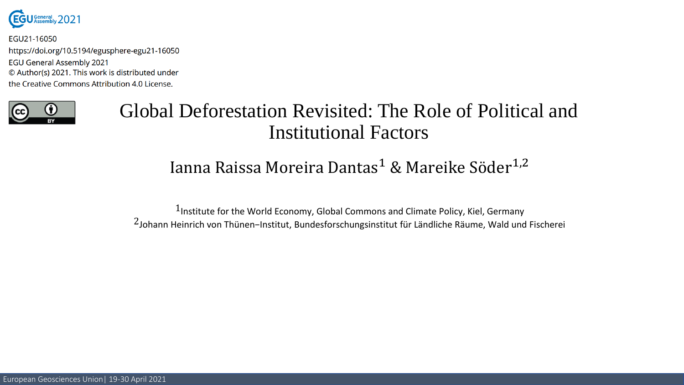

EGU21-16050 https://doi.org/10.5194/egusphere-egu21-16050 **EGU General Assembly 2021** © Author(s) 2021. This work is distributed under the Creative Commons Attribution 4.0 License.



## Global Deforestation Revisited: The Role of Political and Institutional Factors

### Ianna Raissa Moreira Dantas<sup>1</sup> & Mareike Söder<sup>1,2</sup>

 $1$ Institute for the World Economy, Global Commons and Climate Policy, Kiel, Germany 2Johann Heinrich von Thünen−Institut, Bundesforschungsinstitut für Ländliche Räume, Wald und Fischerei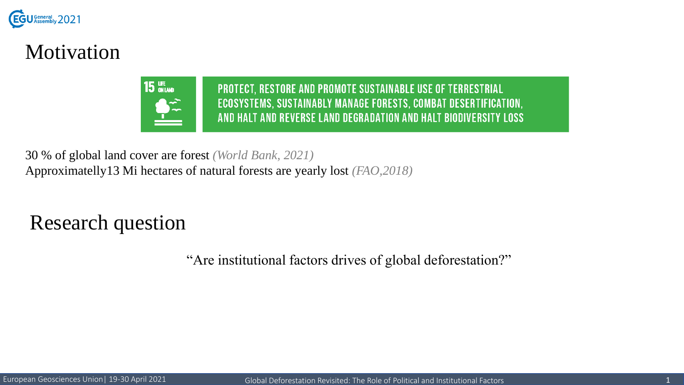

## Motivation

**15 UNE PROTECT, RESTORE AND PROMOTE SUSTAINABLE USE OF TERRESTRIAL** ECOSYSTEMS, SUSTAINABLY MANAGE FORESTS, COMBAT DESERTIFICATION, AND HALT AND REVERSE LAND DEGRADATION AND HALT BIODIVERSITY LOSS

30 % of global land cover are forest *(World Bank, 2021)* Approximatelly13 Mi hectares of natural forests are yearly lost *(FAO,2018)*

Research question

"Are institutional factors drives of global deforestation?"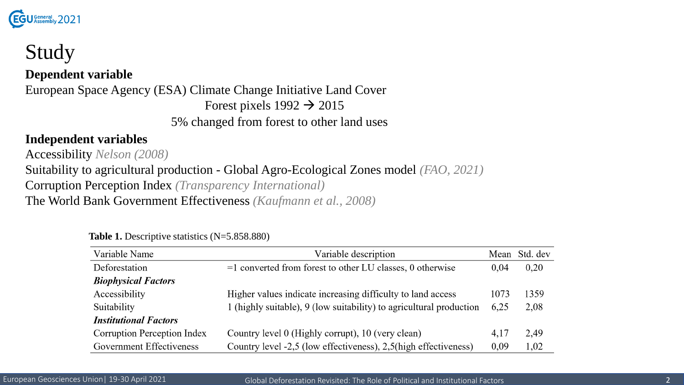

# Study

#### **Dependent variable**

European Space Agency (ESA) Climate Change Initiative Land Cover Forest pixels  $1992 \rightarrow 2015$ 5% changed from forest to other land uses

#### **Independent variables**

Accessibility *Nelson (2008)* Suitability to agricultural production - Global Agro-Ecological Zones model *(FAO, 2021)* Corruption Perception Index *(Transparency International)* The World Bank Government Effectiveness *(Kaufmann et al., 2008)*

| Variable Name                      | Variable description                                                | Mean | Std. dev |
|------------------------------------|---------------------------------------------------------------------|------|----------|
| Deforestation                      | $=1$ converted from forest to other LU classes, 0 otherwise         | 0.04 | 0.20     |
| <b>Biophysical Factors</b>         |                                                                     |      |          |
| Accessibility                      | Higher values indicate increasing difficulty to land access         | 1073 | 1359     |
| Suitability                        | 1 (highly suitable), 9 (low suitability) to agricultural production | 6,25 | 2,08     |
| <b>Institutional Factors</b>       |                                                                     |      |          |
| <b>Corruption Perception Index</b> | Country level 0 (Highly corrupt), 10 (very clean)                   | 4,17 | 2,49     |
| Government Effectiveness           | Country level -2,5 (low effectiveness), 2,5(high effectiveness)     | 0,09 | 1,02     |

**Table 1.** Descriptive statistics (N=5.858.880)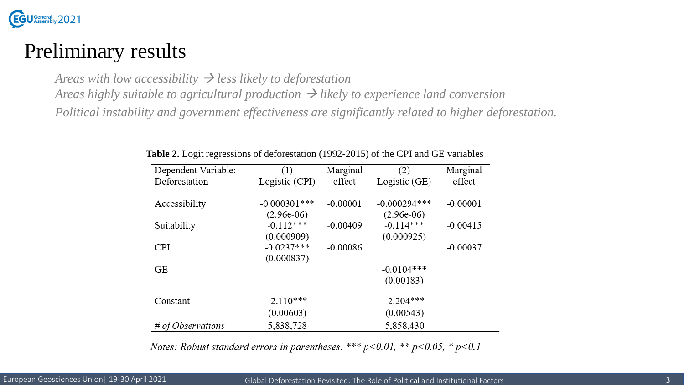

## Preliminary results

*Areas* with low accessibility  $\rightarrow$  less likely to deforestation

*Areas highly suitable to agricultural production* → *likely to experience land conversion*

*Political instability and government effectiveness are significantly related to higher deforestation.*

| (1)             | Marginal   | (2)            | Marginal    |
|-----------------|------------|----------------|-------------|
| Logistic (CPI)  | effect     | Logistic (GE)  | effect      |
|                 |            |                |             |
| $-0.000301$ *** | $-0.00001$ | $-0.000294***$ | $-0.00001$  |
| $(2.96e-06)$    |            | $(2.96e-06)$   |             |
| $-0.112***$     | $-0.00409$ | $-0.114***$    | $-0.00415$  |
| (0.000909)      |            | (0.000925)     |             |
| $-0.0237***$    | $-0.00086$ |                | $-0.00037$  |
| (0.000837)      |            |                |             |
|                 |            | $-0.0104***$   |             |
|                 |            | (0.00183)      |             |
|                 |            |                |             |
| $-2.110***$     |            |                |             |
| (0.00603)       |            | (0.00543)      |             |
| 5,838,728       |            | 5,858,430      |             |
|                 |            |                | $-2.204***$ |

**Table 2.** Logit regressions of deforestation (1992-2015) of the CPI and GE variables

Notes: Robust standard errors in parentheses. \*\*\*  $p<0.01$ , \*\*  $p<0.05$ , \*  $p<0.1$